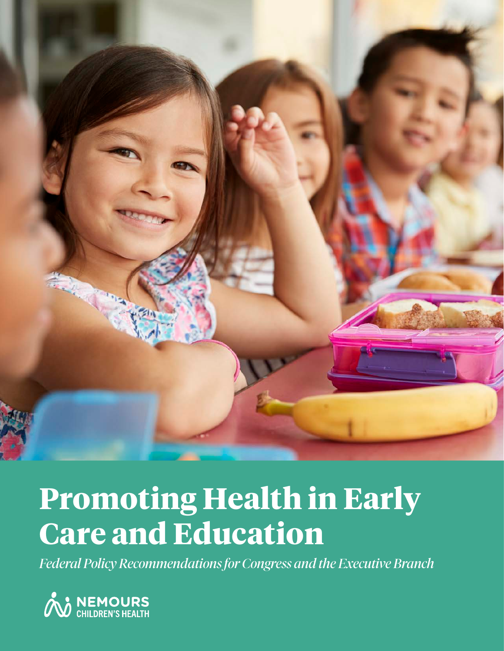

## **Promoting Health in Early Care and Education**

*Federal Policy Recommendations for Congress and the Executive Branch*

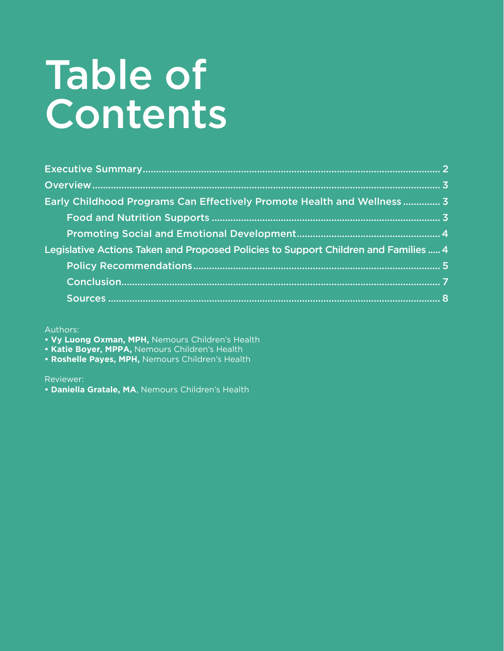# Table of **Contents**

| Early Childhood Programs Can Effectively Promote Health and Wellness 3              |  |
|-------------------------------------------------------------------------------------|--|
|                                                                                     |  |
|                                                                                     |  |
| Legislative Actions Taken and Proposed Policies to Support Children and Families  4 |  |
|                                                                                     |  |
|                                                                                     |  |
|                                                                                     |  |

Authors:

- **Vy Luong Oxman, MPH,** Nemours Children's Health
- **Katie Boyer, MPPA,** Nemours Children's Health
- **Roshelle Payes, MPH,** Nemours Children's Health

Reviewer:

**• Daniella Gratale, MA**, Nemours Children's Health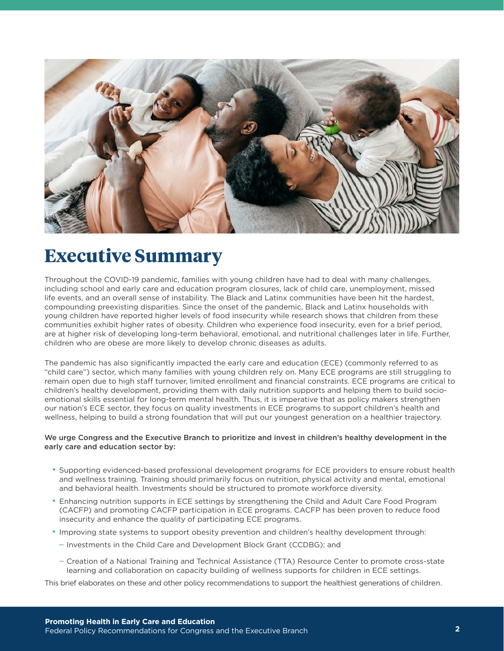

### **Executive Summary**

Throughout the COVID-19 pandemic, families with young children have had to deal with many challenges, including school and early care and education program closures, lack of child care, unemployment, missed life events, and an overall sense of instability. The Black and Latinx communities have been hit the hardest, compounding preexisting disparities. Since the onset of the pandemic, Black and Latinx households with young children have reported higher levels of food insecurity while research shows that children from these communities exhibit higher rates of obesity. Children who experience food insecurity, even for a brief period, are at higher risk of developing long-term behavioral, emotional, and nutritional challenges later in life. Further, children who are obese are more likely to develop chronic diseases as adults.

The pandemic has also significantly impacted the early care and education (ECE) (commonly referred to as "child care") sector, which many families with young children rely on. Many ECE programs are still struggling to remain open due to high staff turnover, limited enrollment and financial constraints. ECE programs are critical to children's healthy development, providing them with daily nutrition supports and helping them to build socioemotional skills essential for long-term mental health. Thus, it is imperative that as policy makers strengthen our nation's ECE sector, they focus on quality investments in ECE programs to support children's health and wellness, helping to build a strong foundation that will put our youngest generation on a healthier trajectory.

#### We urge Congress and the Executive Branch to prioritize and invest in children's healthy development in the early care and education sector by:

- Supporting evidenced-based professional development programs for ECE providers to ensure robust health and wellness training. Training should primarily focus on nutrition, physical activity and mental, emotional and behavioral health. Investments should be structured to promote workforce diversity.
- Enhancing nutrition supports in ECE settings by strengthening the Child and Adult Care Food Program (CACFP) and promoting CACFP participation in ECE programs. CACFP has been proven to reduce food insecurity and enhance the quality of participating ECE programs.
- Improving state systems to support obesity prevention and children's healthy development through:
	- Investments in the Child Care and Development Block Grant (CCDBG); and
	- Creation of a National Training and Technical Assistance (TTA) Resource Center to promote cross-state learning and collaboration on capacity building of wellness supports for children in ECE settings.

This brief elaborates on these and other policy recommendations to support the healthiest generations of children.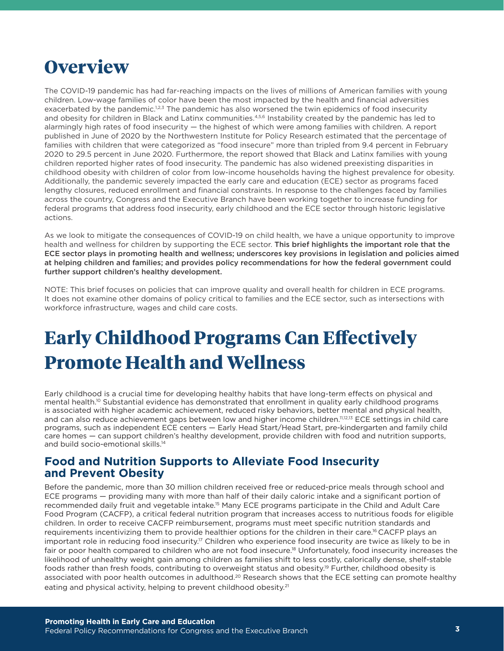### **Overview**

The COVID-19 pandemic has had far-reaching impacts on the lives of millions of American families with young children. Low-wage families of color have been the most impacted by the health and financial adversities exacerbated by the pandemic.<sup>1,2,3</sup> The pandemic has also worsened the twin epidemics of food insecurity and obesity for children in Black and Latinx communities.<sup>4,5,6</sup> Instability created by the pandemic has led to alarmingly high rates of food insecurity — the highest of which were among families with children. A report published in June of 2020 by the Northwestern Institute for Policy Research estimated that the percentage of families with children that were categorized as "food insecure" more than tripled from 9.4 percent in February 2020 to 29.5 percent in June 2020. Furthermore, the report showed that Black and Latinx families with young children reported higher rates of food insecurity. The pandemic has also widened preexisting disparities in childhood obesity with children of color from low-income households having the highest prevalence for obesity. Additionally, the pandemic severely impacted the early care and education (ECE) sector as programs faced lengthy closures, reduced enrollment and financial constraints. In response to the challenges faced by families across the country, Congress and the Executive Branch have been working together to increase funding for federal programs that address food insecurity, early childhood and the ECE sector through historic legislative actions.

As we look to mitigate the consequences of COVID-19 on child health, we have a unique opportunity to improve health and wellness for children by supporting the ECE sector. This brief highlights the important role that the ECE sector plays in promoting health and wellness; underscores key provisions in legislation and policies aimed at helping children and families; and provides policy recommendations for how the federal government could further support children's healthy development.

NOTE: This brief focuses on policies that can improve quality and overall health for children in ECE programs. It does not examine other domains of policy critical to families and the ECE sector, such as intersections with workforce infrastructure, wages and child care costs.

### **Early Childhood Programs Can Effectively Promote Health and Wellness**

Early childhood is a crucial time for developing healthy habits that have long-term effects on physical and mental health.10 Substantial evidence has demonstrated that enrollment in quality early childhood programs is associated with higher academic achievement, reduced risky behaviors, better mental and physical health, and can also reduce achievement gaps between low and higher income children.11,12,13 ECE settings in child care programs, such as independent ECE centers — Early Head Start/Head Start, pre-kindergarten and family child care homes — can support children's healthy development, provide children with food and nutrition supports, and build socio-emotional skills.<sup>14</sup>

### **Food and Nutrition Supports to Alleviate Food Insecurity and Prevent Obesity**

Before the pandemic, more than 30 million children received free or reduced-price meals through school and ECE programs — providing many with more than half of their daily caloric intake and a significant portion of recommended daily fruit and vegetable intake.15 Many ECE programs participate in the Child and Adult Care Food Program (CACFP), a critical federal nutrition program that increases access to nutritious foods for eligible children. In order to receive CACFP reimbursement, programs must meet specific nutrition standards and requirements incentivizing them to provide healthier options for the children in their care.16 CACFP plays an important role in reducing food insecurity.<sup>17</sup> Children who experience food insecurity are twice as likely to be in fair or poor health compared to children who are not food insecure.18 Unfortunately, food insecurity increases the likelihood of unhealthy weight gain among children as families shift to less costly, calorically dense, shelf-stable foods rather than fresh foods, contributing to overweight status and obesity.19 Further, childhood obesity is associated with poor health outcomes in adulthood.<sup>20</sup> Research shows that the ECE setting can promote healthy eating and physical activity, helping to prevent childhood obesity.<sup>21</sup>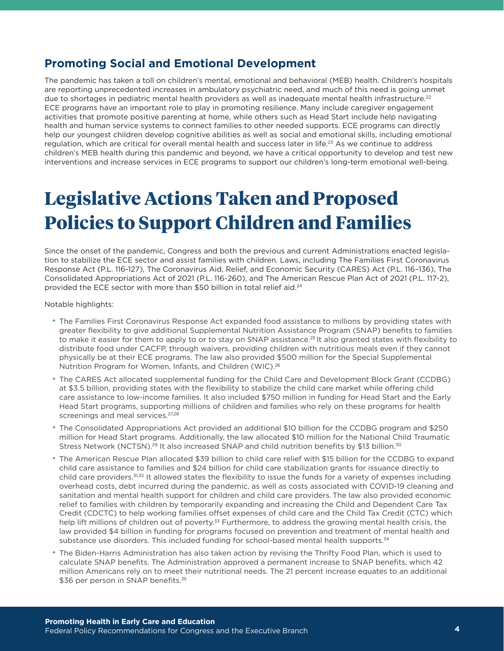### **Promoting Social and Emotional Development**

The pandemic has taken a toll on children's mental, emotional and behavioral (MEB) health. Children's hospitals are reporting unprecedented increases in ambulatory psychiatric need, and much of this need is going unmet due to shortages in pediatric mental health providers as well as inadequate mental health infrastructure.<sup>22</sup> ECE programs have an important role to play in promoting resilience. Many include caregiver engagement activities that promote positive parenting at home, while others such as Head Start include help navigating health and human service systems to connect families to other needed supports. ECE programs can directly help our youngest children develop cognitive abilities as well as social and emotional skills, including emotional regulation, which are critical for overall mental health and success later in life.23 As we continue to address children's MEB health during this pandemic and beyond, we have a critical opportunity to develop and test new interventions and increase services in ECE programs to support our children's long-term emotional well-being.

### **Legislative Actions Taken and Proposed Policies to Support Children and Families**

Since the onset of the pandemic, Congress and both the previous and current Administrations enacted legislation to stabilize the ECE sector and assist families with children. Laws, including The Families First Coronavirus Response Act (P.L. 116-127), The Coronavirus Aid, Relief, and Economic Security (CARES) Act (P.L. 116–136), The Consolidated Appropriations Act of 2021 (P.L. 116-260), and The American Rescue Plan Act of 2021 (P.L. 117-2), provided the ECE sector with more than \$50 billion in total relief aid.<sup>24</sup>

Notable highlights:

- The Families First Coronavirus Response Act expanded food assistance to millions by providing states with greater flexibility to give additional Supplemental Nutrition Assistance Program (SNAP) benefits to families to make it easier for them to apply to or to stay on SNAP assistance.<sup>25</sup> It also granted states with flexibility to distribute food under CACFP, through waivers, providing children with nutritious meals even if they cannot physically be at their ECE programs. The law also provided \$500 million for the Special Supplemental Nutrition Program for Women, Infants, and Children (WIC).<sup>26</sup>
- The CARES Act allocated supplemental funding for the Child Care and Development Block Grant (CCDBG) at \$3.5 billion, providing states with the flexibility to stabilize the child care market while offering child care assistance to low-income families. It also included \$750 million in funding for Head Start and the Early Head Start programs, supporting millions of children and families who rely on these programs for health screenings and meal services.<sup>27,28</sup>
- The Consolidated Appropriations Act provided an additional \$10 billion for the CCDBG program and \$250 million for Head Start programs. Additionally, the law allocated \$10 million for the National Child Traumatic Stress Network (NCTSN).<sup>29</sup> It also increased SNAP and child nutrition benefits by \$13 billion.<sup>30</sup>
- The American Rescue Plan allocated \$39 billion to child care relief with \$15 billion for the CCDBG to expand child care assistance to families and \$24 billion for child care stabilization grants for issuance directly to child care providers.31,32 It allowed states the flexibility to issue the funds for a variety of expenses including overhead costs, debt incurred during the pandemic, as well as costs associated with COVID-19 cleaning and sanitation and mental health support for children and child care providers. The law also provided economic relief to families with children by temporarily expanding and increasing the Child and Dependent Care Tax Credit (CDCTC) to help working families offset expenses of child care and the Child Tax Credit (CTC) which help lift millions of children out of poverty.<sup>33</sup> Furthermore, to address the growing mental health crisis, the law provided \$4 billion in funding for programs focused on prevention and treatment of mental health and substance use disorders. This included funding for school-based mental health supports.<sup>34</sup>
- The Biden-Harris Administration has also taken action by revising the Thrifty Food Plan, which is used to calculate SNAP benefits. The Administration approved a permanent increase to SNAP benefits, which 42 million Americans rely on to meet their nutritional needs. The 21 percent increase equates to an additional \$36 per person in SNAP benefits.<sup>35</sup>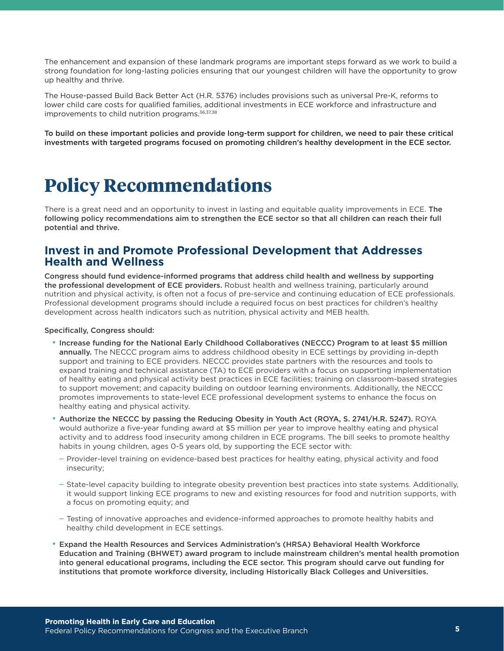The enhancement and expansion of these landmark programs are important steps forward as we work to build a strong foundation for long-lasting policies ensuring that our youngest children will have the opportunity to grow up healthy and thrive.

The House-passed Build Back Better Act (H.R. 5376) includes provisions such as universal Pre-K, reforms to lower child care costs for qualified families, additional investments in ECE workforce and infrastructure and improvements to child nutrition programs.<sup>36,37,38</sup>

To build on these important policies and provide long-term support for children, we need to pair these critical investments with targeted programs focused on promoting children's healthy development in the ECE sector.

### **Policy Recommendations**

There is a great need and an opportunity to invest in lasting and equitable quality improvements in ECE. The following policy recommendations aim to strengthen the ECE sector so that all children can reach their full potential and thrive.

#### **Invest in and Promote Professional Development that Addresses Health and Wellness**

Congress should fund evidence-informed programs that address child health and wellness by supporting the professional development of ECE providers. Robust health and wellness training, particularly around nutrition and physical activity, is often not a focus of pre-service and continuing education of ECE professionals. Professional development programs should include a required focus on best practices for children's healthy development across health indicators such as nutrition, physical activity and MEB health.

#### Specifically, Congress should:

- Increase funding for the National Early Childhood Collaboratives (NECCC) Program to at least \$5 million annually. The NECCC program aims to address childhood obesity in ECE settings by providing in-depth support and training to ECE providers. NECCC provides state partners with the resources and tools to expand training and technical assistance (TA) to ECE providers with a focus on supporting implementation of healthy eating and physical activity best practices in ECE facilities; training on classroom-based strategies to support movement; and capacity building on outdoor learning environments. Additionally, the NECCC promotes improvements to state-level ECE professional development systems to enhance the focus on healthy eating and physical activity.
- Authorize the NECCC by passing the Reducing Obesity in Youth Act (ROYA, S. 2741/H.R. 5247). ROYA would authorize a five-year funding award at \$5 million per year to improve healthy eating and physical activity and to address food insecurity among children in ECE programs. The bill seeks to promote healthy habits in young children, ages 0-5 years old, by supporting the ECE sector with:
	- Provider-level training on evidence-based best practices for healthy eating, physical activity and food insecurity;
	- State-level capacity building to integrate obesity prevention best practices into state systems. Additionally, it would support linking ECE programs to new and existing resources for food and nutrition supports, with a focus on promoting equity; and
	- Testing of innovative approaches and evidence-informed approaches to promote healthy habits and healthy child development in ECE settings.
- Expand the Health Resources and Services Administration's (HRSA) Behavioral Health Workforce Education and Training (BHWET) award program to include mainstream children's mental health promotion into general educational programs, including the ECE sector. This program should carve out funding for institutions that promote workforce diversity, including Historically Black Colleges and Universities.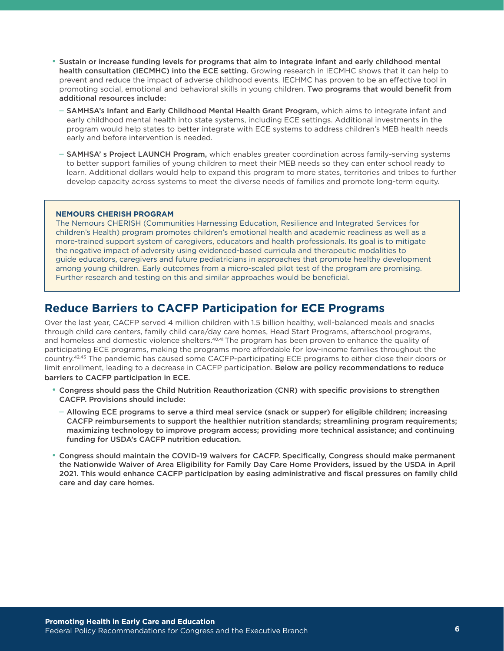- Sustain or increase funding levels for programs that aim to integrate infant and early childhood mental health consultation (IECMHC) into the ECE setting. Growing research in IECMHC shows that it can help to prevent and reduce the impact of adverse childhood events. IECHMC has proven to be an effective tool in promoting social, emotional and behavioral skills in young children. Two programs that would benefit from additional resources include:
	- SAMHSA's Infant and Early Childhood Mental Health Grant Program, which aims to integrate infant and early childhood mental health into state systems, including ECE settings. Additional investments in the program would help states to better integrate with ECE systems to address children's MEB health needs early and before intervention is needed.
	- SAMHSA' s Project LAUNCH Program, which enables greater coordination across family-serving systems to better support families of young children to meet their MEB needs so they can enter school ready to learn. Additional dollars would help to expand this program to more states, territories and tribes to further develop capacity across systems to meet the diverse needs of families and promote long-term equity.

#### **NEMOURS CHERISH PROGRAM**

The Nemours CHERISH (Communities Harnessing Education, Resilience and Integrated Services for children's Health) program promotes children's emotional health and academic readiness as well as a more-trained support system of caregivers, educators and health professionals. Its goal is to mitigate the negative impact of adversity using evidenced-based curricula and therapeutic modalities to guide educators, caregivers and future pediatricians in approaches that promote healthy development among young children. Early outcomes from a micro-scaled pilot test of the program are promising. Further research and testing on this and similar approaches would be beneficial.

#### **Reduce Barriers to CACFP Participation for ECE Programs**

Over the last year, CACFP served 4 million children with 1.5 billion healthy, well-balanced meals and snacks through child care centers, family child care/day care homes, Head Start Programs, afterschool programs, and homeless and domestic violence shelters.<sup>40,41</sup> The program has been proven to enhance the quality of participating ECE programs, making the programs more affordable for low-income families throughout the country.42,43 The pandemic has caused some CACFP-participating ECE programs to either close their doors or limit enrollment, leading to a decrease in CACFP participation. Below are policy recommendations to reduce barriers to CACFP participation in ECE.

- Congress should pass the Child Nutrition Reauthorization (CNR) with specific provisions to strengthen CACFP. Provisions should include:
	- Allowing ECE programs to serve a third meal service (snack or supper) for eligible children; increasing CACFP reimbursements to support the healthier nutrition standards; streamlining program requirements; maximizing technology to improve program access; providing more technical assistance; and continuing funding for USDA's CACFP nutrition education.
- Congress should maintain the COVID-19 waivers for CACFP. Specifically, Congress should make permanent the Nationwide Waiver of Area Eligibility for Family Day Care Home Providers, issued by the USDA in April 2021. This would enhance CACFP participation by easing administrative and fiscal pressures on family child care and day care homes.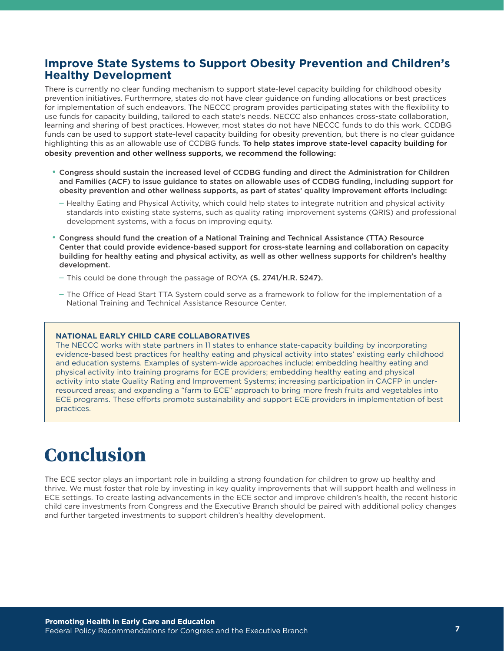#### **Improve State Systems to Support Obesity Prevention and Children's Healthy Development**

There is currently no clear funding mechanism to support state-level capacity building for childhood obesity prevention initiatives. Furthermore, states do not have clear guidance on funding allocations or best practices for implementation of such endeavors. The NECCC program provides participating states with the flexibility to use funds for capacity building, tailored to each state's needs. NECCC also enhances cross-state collaboration, learning and sharing of best practices. However, most states do not have NECCC funds to do this work. CCDBG funds can be used to support state-level capacity building for obesity prevention, but there is no clear guidance highlighting this as an allowable use of CCDBG funds. To help states improve state-level capacity building for obesity prevention and other wellness supports, we recommend the following:

- Congress should sustain the increased level of CCDBG funding and direct the Administration for Children and Families (ACF) to issue guidance to states on allowable uses of CCDBG funding, including support for obesity prevention and other wellness supports, as part of states' quality improvement efforts including:
	- Healthy Eating and Physical Activity, which could help states to integrate nutrition and physical activity standards into existing state systems, such as quality rating improvement systems (QRIS) and professional development systems, with a focus on improving equity.
- Congress should fund the creation of a National Training and Technical Assistance (TTA) Resource Center that could provide evidence-based support for cross-state learning and collaboration on capacity building for healthy eating and physical activity, as well as other wellness supports for children's healthy development.
	- $-$  This could be done through the passage of ROYA (S. 2741/H.R. 5247).
	- The Office of Head Start TTA System could serve as a framework to follow for the implementation of a National Training and Technical Assistance Resource Center.

#### **NATIONAL EARLY CHILD CARE COLLABORATIVES**

The NECCC works with state partners in 11 states to enhance state-capacity building by incorporating evidence-based best practices for healthy eating and physical activity into states' existing early childhood and education systems. Examples of system-wide approaches include: embedding healthy eating and physical activity into training programs for ECE providers; embedding healthy eating and physical activity into state Quality Rating and Improvement Systems; increasing participation in CACFP in underresourced areas; and expanding a "farm to ECE" approach to bring more fresh fruits and vegetables into ECE programs. These efforts promote sustainability and support ECE providers in implementation of best practices.

### **Conclusion**

The ECE sector plays an important role in building a strong foundation for children to grow up healthy and thrive. We must foster that role by investing in key quality improvements that will support health and wellness in ECE settings. To create lasting advancements in the ECE sector and improve children's health, the recent historic child care investments from Congress and the Executive Branch should be paired with additional policy changes and further targeted investments to support children's healthy development.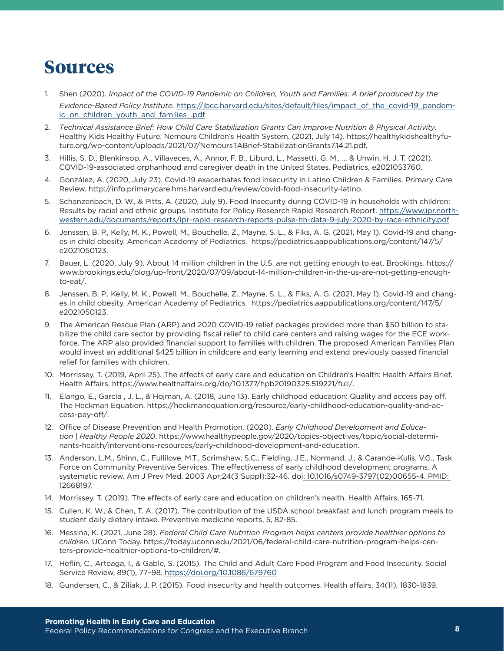### **Sources**

- 1. Shen (2020). *Impact of the COVID-19 Pandemic on Children, Youth and Families: A brief produced by the Evidence-Based Policy Institute.* [https://jbcc.harvard.edu/sites/default/files/impact\\_of\\_the\\_covid-19\\_pandem](https://jbcc.harvard.edu/sites/default/files/impact_of_the_covid-19_pandemic_on_children_youth_and_families_.pdf)ic on children youth and families .pdf
- 2. *Technical Assistance Brief: How Child Care Stabilization Grants Can Improve Nutrition & Physical Activity.* Healthy Kids Healthy Future. Nemours Children's Health System. (2021, July 14). https://healthykidshealthyfuture.org/wp-content/uploads/2021/07/NemoursTABrief-StabilizationGrants7.14.21.pdf.
- 3. Hillis, S. D., Blenkinsop, A., Villaveces, A., Annor, F. B., Liburd, L., Massetti, G. M., ... & Unwin, H. J. T. (2021). COVID-19-associated orphanhood and caregiver death in the United States. Pediatrics, e2021053760.
- 4. González, A. (2020, July 23). Covid-19 exacerbates food insecurity in Latino Children & Families. Primary Care Review. http://info.primarycare.hms.harvard.edu/review/covid-food-insecurity-latino.
- 5. Schanzenbach, D. W., & Pitts, A. (2020, July 9). Food Insecurity during COVID-19 in households with children: Results by racial and ethnic groups. Institute for Policy Research Rapid Research Report. [https://www.ipr.north](https://www.ipr.northwestern.edu/documents/reports/ipr-rapid-research-reports-pulse-hh-data-9-july-2020-by-race-ethnicity.pdf)[western.edu/documents/reports/ipr-rapid-research-reports-pulse-hh-data-9-july-2020-by-race-ethnicity.pdf](https://www.ipr.northwestern.edu/documents/reports/ipr-rapid-research-reports-pulse-hh-data-9-july-2020-by-race-ethnicity.pdf)
- 6. Jenssen, B. P., Kelly, M. K., Powell, M., Bouchelle, Z., Mayne, S. L., & Fiks, A. G. (2021, May 1). Covid-19 and changes in child obesity. American Academy of Pediatrics. https://pediatrics.aappublications.org/content/147/5/ e2021050123.
- 7. Bauer, L. (2020, July 9). About 14 million children in the U.S. are not getting enough to eat. Brookings. https:// www.brookings.edu/blog/up-front/2020/07/09/about-14-million-children-in-the-us-are-not-getting-enoughto-eat/.
- 8. Jenssen, B. P., Kelly, M. K., Powell, M., Bouchelle, Z., Mayne, S. L., & Fiks, A. G. (2021, May 1). Covid-19 and changes in child obesity. American Academy of Pediatrics. https://pediatrics.aappublications.org/content/147/5/ e2021050123.
- 9. The American Rescue Plan (ARP) and 2020 COVID-19 relief packages provided more than \$50 billion to stabilize the child care sector by providing fiscal relief to child care centers and raising wages for the ECE workforce. The ARP also provided financial support to families with children. The proposed American Families Plan would invest an additional \$425 billion in childcare and early learning and extend previously passed financial relief for families with children.
- 10. Morrissey, T. (2019, April 25). The effects of early care and education on Children's Health: Health Affairs Brief. Health Affairs. https://www.healthaffairs.org/do/10.1377/hpb20190325.519221/full/.
- 11. Elango, E., García , J. L., & Hojman, A. (2018, June 13). Early childhood education: Quality and access pay off. The Heckman Equation. https://heckmanequation.org/resource/early-childhood-education-quality-and-access-pay-off/.
- 12. Office of Disease Prevention and Health Promotion. (2020). *Early Childhood Development and Education | Healthy People 2020*. https://www.healthypeople.gov/2020/topics-objectives/topic/social-determinants-health/interventions-resources/early-childhood-development-and-education.
- 13. Anderson, L.M., Shinn, C., Fullilove, M.T., Scrimshaw, S.C., Fielding, J.E., Normand, J., & Carande-Kulis, V.G., Task Force on Community Preventive Services. The effectiveness of early childhood development programs. A systematic review. Am J Prev Med. 2003 Apr;24(3 Suppl):32-46. doi: 10.1016/s0749-3797(02)00655-4. PMID: 12668197.
- 14. Morrissey, T. (2019). The effects of early care and education on children's health. Health Affairs, 165-71.
- 15. Cullen, K. W., & Chen, T. A. (2017). The contribution of the USDA school breakfast and lunch program meals to student daily dietary intake. Preventive medicine reports, 5, 82-85.
- 16. Messina, K. (2021, June 28). *Federal Child Care Nutrition Program helps centers provide healthier options to children.* UConn Today. https://today.uconn.edu/2021/06/federal-child-care-nutrition-program-helps-centers-provide-healthier-options-to-children/#.
- 17. Heflin, C., Arteaga, I., & Gable, S. (2015). The Child and Adult Care Food Program and Food Insecurity. Social Service Review, 89(1), 77–98.<https://doi.org/10.1086/679760>
- 18. Gundersen, C., & Ziliak, J. P. (2015). Food insecurity and health outcomes. Health affairs, 34(11), 1830-1839.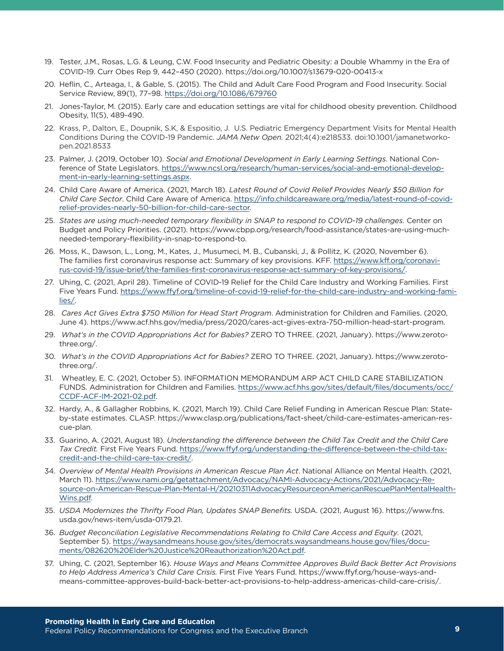- 19. Tester, J.M., Rosas, L.G. & Leung, C.W. Food Insecurity and Pediatric Obesity: a Double Whammy in the Era of COVID-19. Curr Obes Rep 9, 442–450 (2020). https://doi.org/10.1007/s13679-020-00413-x
- 20. Heflin, C., Arteaga, I., & Gable, S. (2015). The Child and Adult Care Food Program and Food Insecurity. Social Service Review, 89(1), 77–98.<https://doi.org/10.1086/679760>
- 21. Jones-Taylor, M. (2015). Early care and education settings are vital for childhood obesity prevention. Childhood Obesity, 11(5), 489-490.
- 22. Krass, P., Dalton, E., Doupnik, S.K, & Espositio, J. U.S. Pediatric Emergency Department Visits for Mental Health Conditions During the COVID-19 Pandemic. *JAMA Netw Open.* 2021;4(4):e218533. doi:10.1001/jamanetworkopen.2021.8533
- 23. Palmer, J. (2019, October 10). *Social and Emotional Development in Early Learning Settings.* National Conference of State Legislators. [https://www.ncsl.org/research/human-services/social-and-emotional-develop](https://www.ncsl.org/research/human-services/social-and-emotional-development-in-early-learning-settings.aspx)[ment-in-early-learning-settings.aspx](https://www.ncsl.org/research/human-services/social-and-emotional-development-in-early-learning-settings.aspx).
- 24. Child Care Aware of America. (2021, March 18). *Latest Round of Covid Relief Provides Nearly \$50 Billion for Child Care Sector*. Child Care Aware of America. [https://info.childcareaware.org/media/latest-round-of-covid](https://info.childcareaware.org/media/latest-round-of-covid-relief-provides-nearly-50-billion-for-child-care-sector)[relief-provides-nearly-50-billion-for-child-care-sector](https://info.childcareaware.org/media/latest-round-of-covid-relief-provides-nearly-50-billion-for-child-care-sector).
- 25. *States are using much-needed temporary flexibility in SNAP to respond to COVID-19 challenges.* Center on Budget and Policy Priorities. (2021). https://www.cbpp.org/research/food-assistance/states-are-using-muchneeded-temporary-flexibility-in-snap-to-respond-to.
- 26. Moss, K., Dawson, L., Long, M., Kates, J., Musumeci, M. B., Cubanski, J., & Pollitz, K. (2020, November 6). The families first coronavirus response act: Summary of key provisions. KFF. [https://www.kff.org/coronavi](https://www.kff.org/coronavirus-covid-19/issue-brief/the-families-first-coronavirus-response-act-summary-of-key-provisions/)[rus-covid-19/issue-brief/the-families-first-coronavirus-response-act-summary-of-key-provisions/](https://www.kff.org/coronavirus-covid-19/issue-brief/the-families-first-coronavirus-response-act-summary-of-key-provisions/).
- 27. Uhing, C. (2021, April 28). Timeline of COVID-19 Relief for the Child Care Industry and Working Families. First Five Years Fund. [https://www.ffyf.org/timeline-of-covid-19-relief-for-the-child-care-industry-and-working-fami](https://www.ffyf.org/timeline-of-covid-19-relief-for-the-child-care-industry-and-working-families/)[lies/](https://www.ffyf.org/timeline-of-covid-19-relief-for-the-child-care-industry-and-working-families/).
- 28. *Cares Act Gives Extra \$750 Million for Head Start Program*. Administration for Children and Families. (2020, June 4). https://www.acf.hhs.gov/media/press/2020/cares-act-gives-extra-750-million-head-start-program.
- 29. *What's in the COVID Appropriations Act for Babies?* ZERO TO THREE. (2021, January). https://www.zerotothree.org/.
- 30. *What's in the COVID Appropriations Act for Babies?* ZERO TO THREE. (2021, January). https://www.zerotothree.org/.
- 31. Wheatley, E. C. (2021, October 5). INFORMATION MEMORANDUM ARP ACT CHILD CARE STABILIZATION FUNDS. Administration for Children and Families. [https://www.acf.hhs.gov/sites/default/files/documents/occ/](https://www.acf.hhs.gov/sites/default/files/documents/occ/CCDF-ACF-IM-2021-02.pdf) [CCDF-ACF-IM-2021-02.pdf](https://www.acf.hhs.gov/sites/default/files/documents/occ/CCDF-ACF-IM-2021-02.pdf).
- 32. Hardy, A., & Gallagher Robbins, K. (2021, March 19). Child Care Relief Funding in American Rescue Plan: Stateby-state estimates. CLASP. https://www.clasp.org/publications/fact-sheet/child-care-estimates-american-rescue-plan.
- 33. Guarino, A. (2021, August 18). *Understanding the difference between the Child Tax Credit and the Child Care Tax Credit.* First Five Years Fund. [https://www.ffyf.org/understanding-the-difference-between-the-child-tax](https://www.ffyf.org/understanding-the-difference-between-the-child-tax-credit-and-the-child-care-tax-credit/)[credit-and-the-child-care-tax-credit/](https://www.ffyf.org/understanding-the-difference-between-the-child-tax-credit-and-the-child-care-tax-credit/).
- 34. *Overview of Mental Health Provisions in American Rescue Plan Act*. National Alliance on Mental Health. (2021, March 11). [https://www.nami.org/getattachment/Advocacy/NAMI-Advocacy-Actions/2021/Advocacy-Re](https://www.nami.org/getattachment/Advocacy/NAMI-Advocacy-Actions/2021/Advocacy-Resource-on-American-Rescue-Plan-Mental-H/20210311AdvocacyResourceonAmericanRescuePlanMentalHealthWins.pdf)[source-on-American-Rescue-Plan-Mental-H/20210311AdvocacyResourceonAmericanRescuePlanMentalHealth](https://www.nami.org/getattachment/Advocacy/NAMI-Advocacy-Actions/2021/Advocacy-Resource-on-American-Rescue-Plan-Mental-H/20210311AdvocacyResourceonAmericanRescuePlanMentalHealthWins.pdf)-[Wins.pdf](https://www.nami.org/getattachment/Advocacy/NAMI-Advocacy-Actions/2021/Advocacy-Resource-on-American-Rescue-Plan-Mental-H/20210311AdvocacyResourceonAmericanRescuePlanMentalHealthWins.pdf).
- 35. *USDA Modernizes the Thrifty Food Plan, Updates SNAP Benefits.* USDA. (2021, August 16). https://www.fns. usda.gov/news-item/usda-0179.21.
- 36. *Budget Reconciliation Legislative Recommendations Relating to Child Care Access and Equity.* (2021, September 5). [https://waysandmeans.house.gov/sites/democrats.waysandmeans.house.gov/files/docu](https://waysandmeans.house.gov/sites/democrats.waysandmeans.house.gov/files/documents/082620%20Elder%20Justice%20Reauthorization%20Act.pdf)[ments/082620%20Elder%20Justice%20Reauthorization%20Act.pdf](https://waysandmeans.house.gov/sites/democrats.waysandmeans.house.gov/files/documents/082620%20Elder%20Justice%20Reauthorization%20Act.pdf).
- 37. Uhing, C. (2021, September 16). *House Ways and Means Committee Approves Build Back Better Act Provisions to Help Address America's Child Care Crisis.* First Five Years Fund. https://www.ffyf.org/house-ways-andmeans-committee-approves-build-back-better-act-provisions-to-help-address-americas-child-care-crisis/.